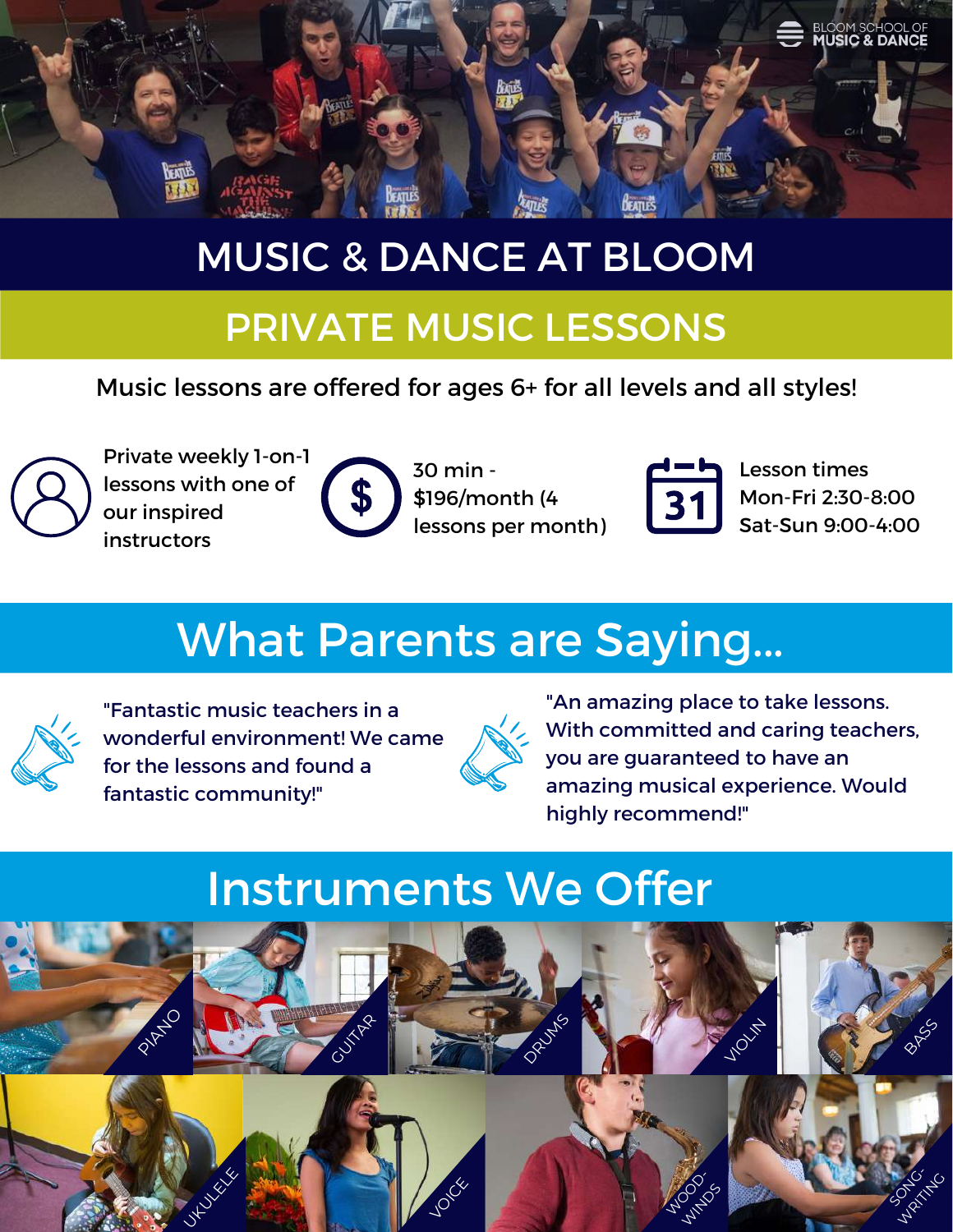

## MUSIC & DANCE AT BLOOM

#### PRIVATE MUSIC LESSONS

Music lessons are offered for ages 6+ for all levels and all styles!



Private weekly 1-on-1 lessons with one of our inspired instructors

| q<br>ı۳ |  |
|---------|--|
| V)      |  |
|         |  |

30 min - \$196/month (4 lessons per month)



Lesson times Mon-Fri 2:30-8:00 Sat-Sun 9:00-4:00

# What Parents are Saying...



"Fantastic music teachers in a wonderful environment! We came for the lessons and found a fantastic community!"



"An amazing place to take lessons. With committed and caring teachers, you are guaranteed to have an amazing musical experience. Would highly recommend!"

## Instruments We Offer

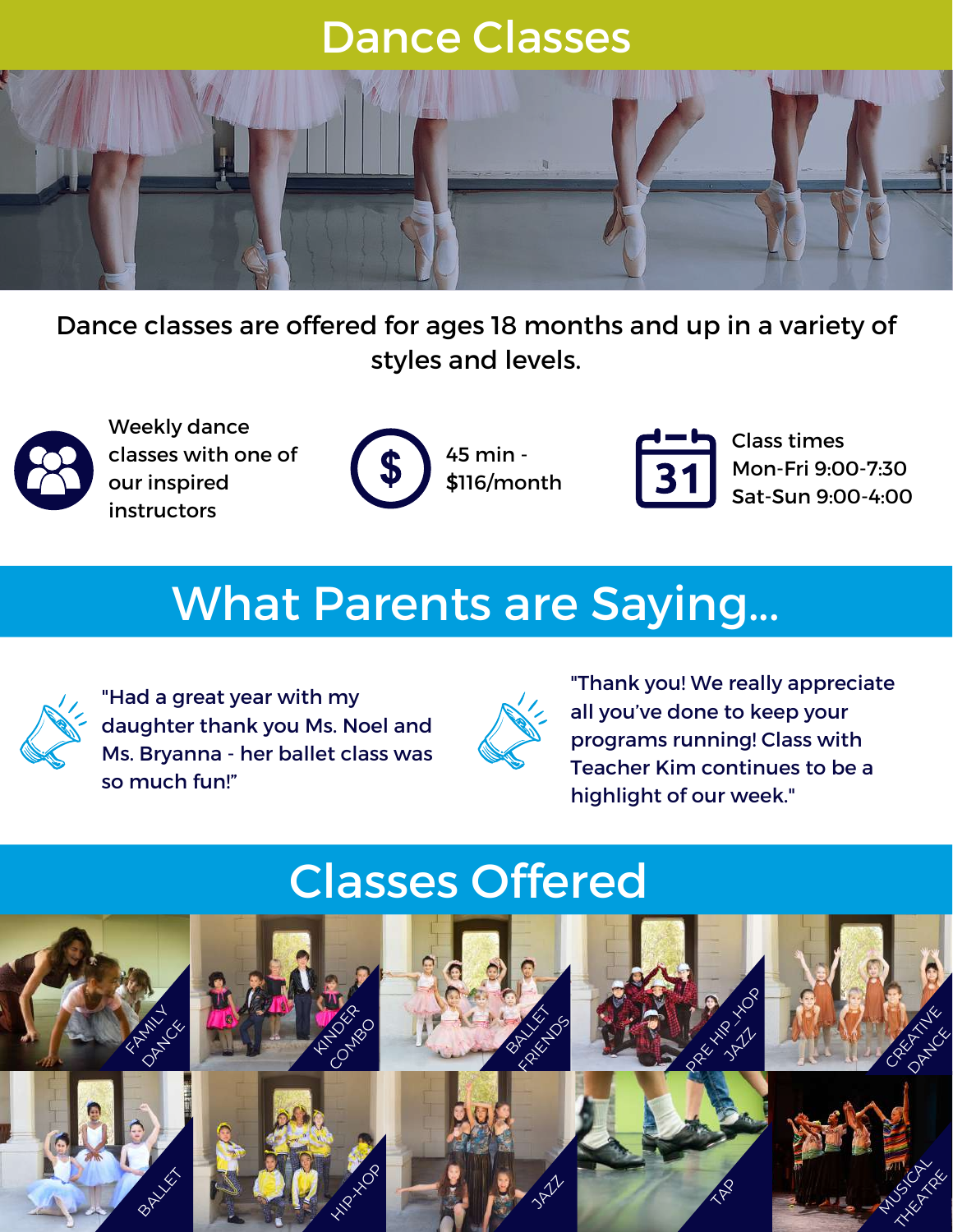## Dance Classes



Dance classes are offered for ages 18 months and up in a variety of styles and levels.



Weekly dance classes with one of our inspired instructors



45 min - \$116/month



Class times Mon-Fri 9:00-7:30 Sat-Sun 9:00-4:00

#### <u>What Parents are Saying...</u> What Parents are Saying...



"Had a great year with my daughter thank you Ms. Noel and Ms. Bryanna - her ballet class was so much fun!"



"Thank you! We really appreciate all you've done to keep your programs running! Class with Teacher Kim continues to be a highlight of our week."

## Classes Offered

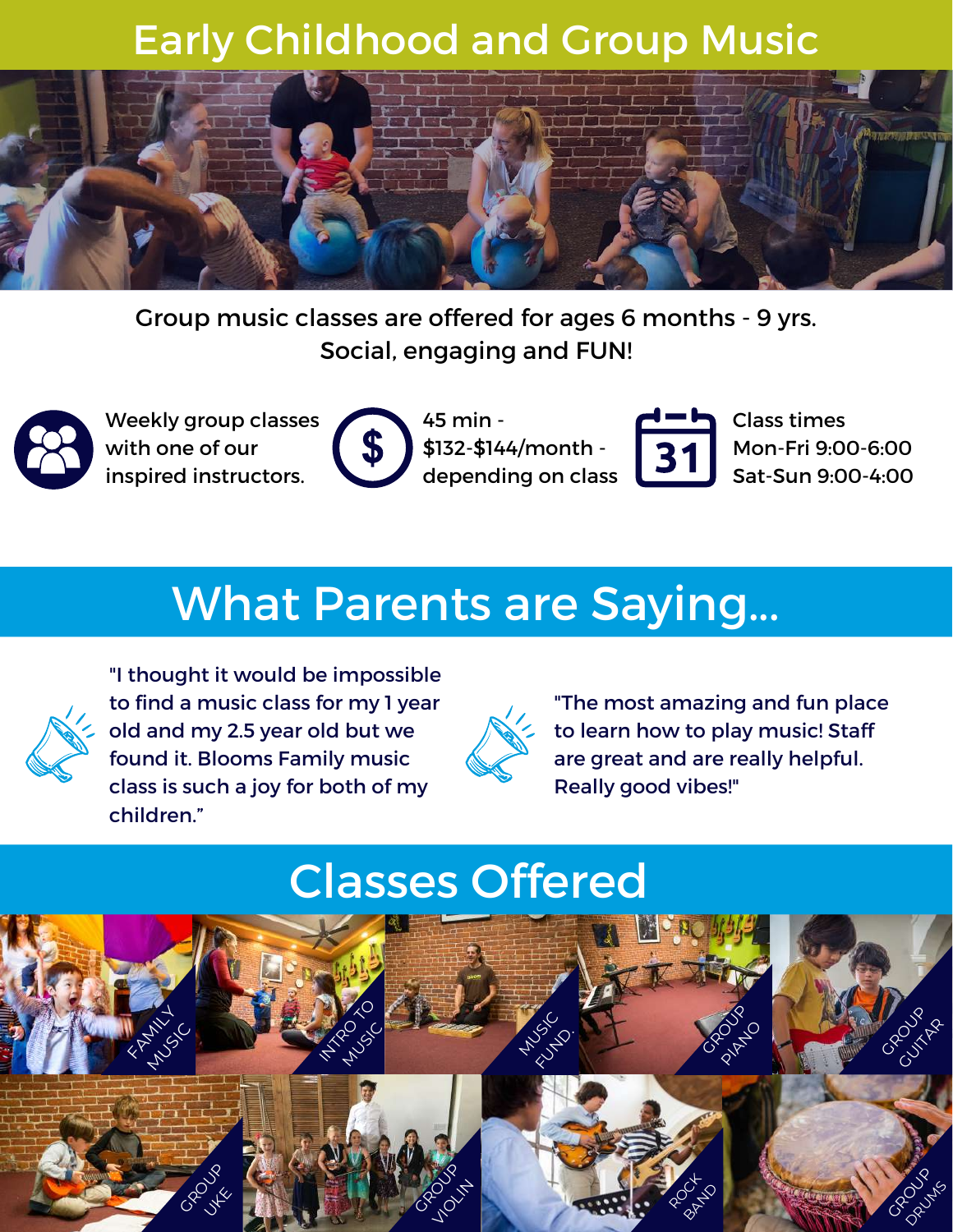#### Early Childhood and Group Music



Group music classes are offered for ages 6 months - 9 yrs. Social, engaging and FUN!



Weekly group classes with one of our inspired instructors.



45 min - \$132-\$144/month depending on class



Class times Mon-Fri 9:00-6:00 Sat-Sun 9:00-4:00

#### <u>What Parents are Saying...</u> What Parents are Saying...



"I thought it would be impossible to find a music class for my 1 year old and my 2.5 year old but we found it. Blooms Family music class is such a joy for both of my children."



"The most amazing and fun place to learn how to play music! Staff are great and are really helpful. Really good vibes!"

## Classes Offered